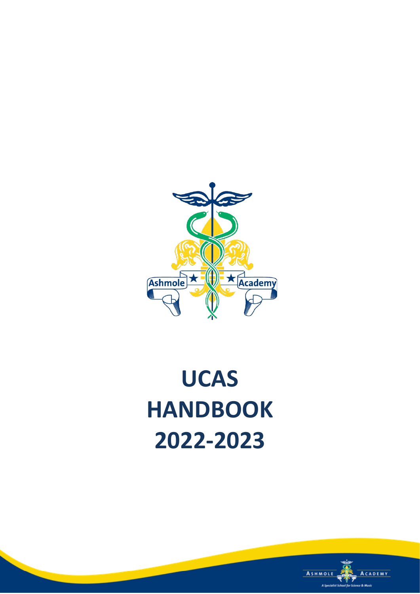

# **UCAS HANDBOOK 2022-2023**

**Contract Contract** 

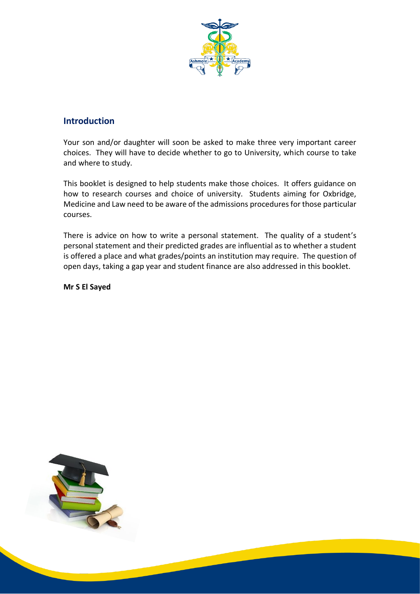

#### **Introduction**

Your son and/or daughter will soon be asked to make three very important career choices. They will have to decide whether to go to University, which course to take and where to study.

This booklet is designed to help students make those choices. It offers guidance on how to research courses and choice of university. Students aiming for Oxbridge, Medicine and Law need to be aware of the admissions procedures for those particular courses.

There is advice on how to write a personal statement. The quality of a student's personal statement and their predicted grades are influential as to whether a student is offered a place and what grades/points an institution may require. The question of open days, taking a gap year and student finance are also addressed in this booklet.

**Mr S El Sayed**

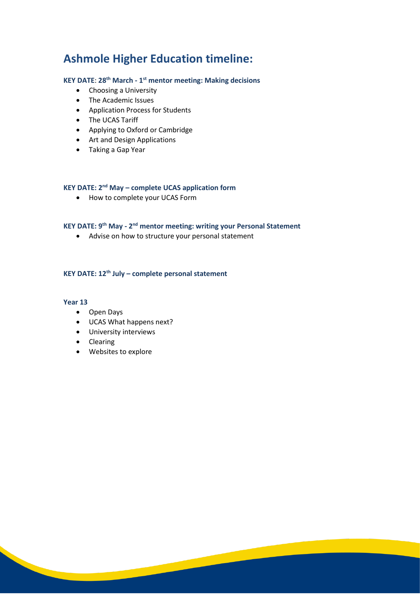# **Ashmole Higher Education timeline:**

#### **KEY DATE**: **28th March - 1 st mentor meeting: Making decisions**

- Choosing a University
- The Academic Issues
- Application Process for Students
- The UCAS Tariff
- Applying to Oxford or Cambridge
- Art and Design Applications
- Taking a Gap Year

#### **KEY DATE: 2nd May – complete UCAS application form**

• How to complete your UCAS Form

#### **KEY DATE: 9<sup>th</sup> May - 2<sup>nd</sup> mentor meeting: writing your Personal Statement**

<u> Samuel Barbara (</u>

• Advise on how to structure your personal statement

#### **KEY DATE: 12th July – complete personal statement**

#### **Year 13**

- Open Days
- UCAS What happens next?
- University interviews
- Clearing
- Websites to explore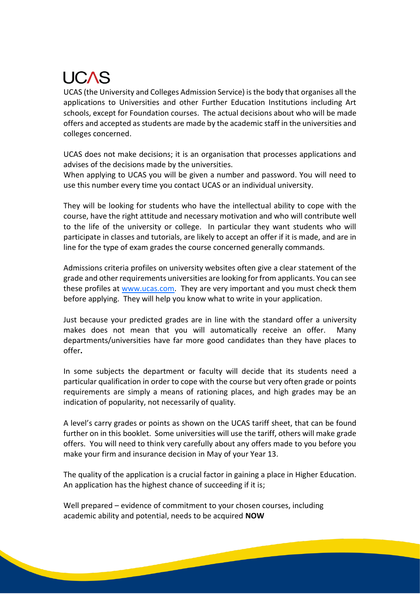# **UCAS**

UCAS (the University and Colleges Admission Service) is the body that organises all the applications to Universities and other Further Education Institutions including Art schools, except for Foundation courses. The actual decisions about who will be made offers and accepted as students are made by the academic staff in the universities and colleges concerned.

UCAS does not make decisions; it is an organisation that processes applications and advises of the decisions made by the universities.

When applying to UCAS you will be given a number and password. You will need to use this number every time you contact UCAS or an individual university.

They will be looking for students who have the intellectual ability to cope with the course, have the right attitude and necessary motivation and who will contribute well to the life of the university or college. In particular they want students who will participate in classes and tutorials, are likely to accept an offer if it is made, and are in line for the type of exam grades the course concerned generally commands.

Admissions criteria profiles on university websites often give a clear statement of the grade and other requirements universities are looking for from applicants. You can see these profiles at [www.ucas.com.](http://www.ucas.com/) They are very important and you must check them before applying. They will help you know what to write in your application.

Just because your predicted grades are in line with the standard offer a university makes does not mean that you will automatically receive an offer. Many departments/universities have far more good candidates than they have places to offer**.**

In some subjects the department or faculty will decide that its students need a particular qualification in order to cope with the course but very often grade or points requirements are simply a means of rationing places, and high grades may be an indication of popularity, not necessarily of quality.

A level's carry grades or points as shown on the UCAS tariff sheet, that can be found further on in this booklet. Some universities will use the tariff, others will make grade offers. You will need to think very carefully about any offers made to you before you make your firm and insurance decision in May of your Year 13.

The quality of the application is a crucial factor in gaining a place in Higher Education. An application has the highest chance of succeeding if it is;

Well prepared – evidence of commitment to your chosen courses, including academic ability and potential, needs to be acquired **NOW**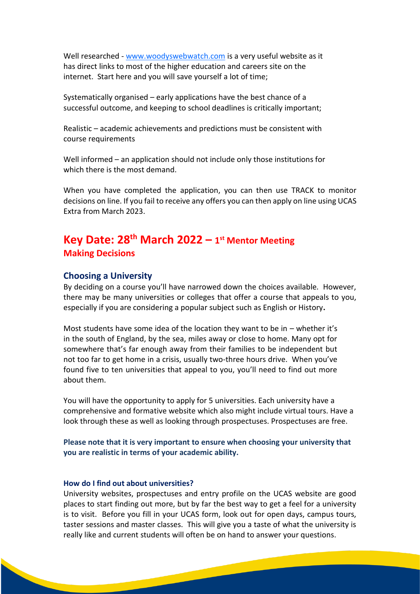Well researched - [www.woodyswebwatch.com](http://www.woodyswebwatch.com/) is a very useful website as it has direct links to most of the higher education and careers site on the internet. Start here and you will save yourself a lot of time;

Systematically organised – early applications have the best chance of a successful outcome, and keeping to school deadlines is critically important;

Realistic – academic achievements and predictions must be consistent with course requirements

Well informed – an application should not include only those institutions for which there is the most demand.

When you have completed the application, you can then use TRACK to monitor decisions on line. If you fail to receive any offers you can then apply on line using UCAS Extra from March 2023.

# **Key Date: 28th March 2022 – 1 st Mentor Meeting Making Decisions**

#### **Choosing a University**

By deciding on a course you'll have narrowed down the choices available. However, there may be many universities or colleges that offer a course that appeals to you, especially if you are considering a popular subject such as English or History**.**

Most students have some idea of the location they want to be in – whether it's in the south of England, by the sea, miles away or close to home. Many opt for somewhere that's far enough away from their families to be independent but not too far to get home in a crisis, usually two-three hours drive. When you've found five to ten universities that appeal to you, you'll need to find out more about them.

You will have the opportunity to apply for 5 universities. Each university have a comprehensive and formative website which also might include virtual tours. Have a look through these as well as looking through prospectuses. Prospectuses are free.

**Please note that it is very important to ensure when choosing your university that you are realistic in terms of your academic ability.** 

#### **How do I find out about universities?**

University websites, prospectuses and entry profile on the UCAS website are good places to start finding out more, but by far the best way to get a feel for a university is to visit. Before you fill in your UCAS form, look out for open days, campus tours, taster sessions and master classes. This will give you a taste of what the university is really like and current students will often be on hand to answer your questions.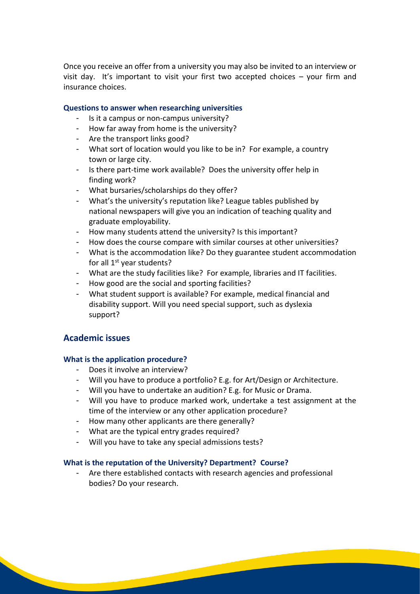Once you receive an offer from a university you may also be invited to an interview or visit day. It's important to visit your first two accepted choices – your firm and insurance choices.

#### **Questions to answer when researching universities**

- Is it a campus or non-campus university?
- How far away from home is the university?
- Are the transport links good?
- What sort of location would you like to be in? For example, a country town or large city.
- Is there part-time work available? Does the university offer help in finding work?
- What bursaries/scholarships do they offer?
- What's the university's reputation like? League tables published by national newspapers will give you an indication of teaching quality and graduate employability.
- How many students attend the university? Is this important?
- How does the course compare with similar courses at other universities?
- What is the accommodation like? Do they guarantee student accommodation for all 1<sup>st</sup> year students?
- What are the study facilities like? For example, libraries and IT facilities.
- How good are the social and sporting facilities?
- What student support is available? For example, medical financial and disability support. Will you need special support, such as dyslexia support?

#### **Academic issues**

#### **What is the application procedure?**

- Does it involve an interview?
- Will you have to produce a portfolio? E.g. for Art/Design or Architecture.
- Will you have to undertake an audition? E.g. for Music or Drama.
- Will you have to produce marked work, undertake a test assignment at the time of the interview or any other application procedure?
- How many other applicants are there generally?
- What are the typical entry grades required?
- Will you have to take any special admissions tests?

#### **What is the reputation of the University? Department? Course?**

Are there established contacts with research agencies and professional bodies? Do your research.

<u> 1990 - Jan Jawa</u>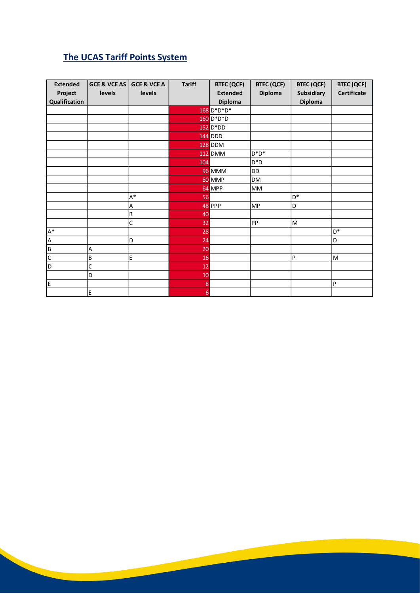# **The UCAS Tariff Points System**

| <b>Extended</b> | <b>GCE &amp; VCE AS</b> | GCE & VCE A | <b>Tariff</b> | <b>BTEC (QCF)</b> | <b>BTEC (QCF)</b> | <b>BTEC (QCF)</b> | <b>BTEC (QCF)</b>         |
|-----------------|-------------------------|-------------|---------------|-------------------|-------------------|-------------------|---------------------------|
| Project         | levels                  | levels      |               | <b>Extended</b>   | Diploma           | <b>Subsidiary</b> | Certificate               |
| Qualification   |                         |             |               | <b>Diploma</b>    |                   | <b>Diploma</b>    |                           |
|                 |                         |             |               | 168 D*D*D*        |                   |                   |                           |
|                 |                         |             |               | 160 D*D*D         |                   |                   |                           |
|                 |                         |             |               | 152 D*DD          |                   |                   |                           |
|                 |                         |             |               | <b>144 DDD</b>    |                   |                   |                           |
|                 |                         |             |               | <b>128 DDM</b>    |                   |                   |                           |
|                 |                         |             |               | <b>112 DMM</b>    | $D^*D^*$          |                   |                           |
|                 |                         |             | 104           |                   | $D^*D$            |                   |                           |
|                 |                         |             |               | <b>96 MMM</b>     | DD                |                   |                           |
|                 |                         |             |               | 80 MMP            | <b>DM</b>         |                   |                           |
|                 |                         |             |               | 64 MPP            | MM                |                   |                           |
|                 |                         | $A^*$       | 56            |                   |                   | D*                |                           |
|                 |                         | A           |               | 48 PPP            | <b>MP</b>         | D                 |                           |
|                 |                         | ΙB          | 40            |                   |                   |                   |                           |
|                 |                         | C           | 32            |                   | PP                | M                 |                           |
| $\mathsf{A}^*$  |                         |             | 28            |                   |                   |                   | D*                        |
| A               |                         | D           | 24            |                   |                   |                   | D                         |
| $\sf{B}$        | A                       |             | 20            |                   |                   |                   |                           |
| $\mathsf C$     | $\sf B$                 | E           | 16            |                   |                   | P                 | M                         |
| D               | C                       |             | 12            |                   |                   |                   |                           |
|                 | D                       |             | 10            |                   |                   |                   |                           |
| E               |                         |             | 8             |                   |                   |                   | $\boldsymbol{\mathsf{P}}$ |
|                 | E                       |             | 6             |                   |                   |                   |                           |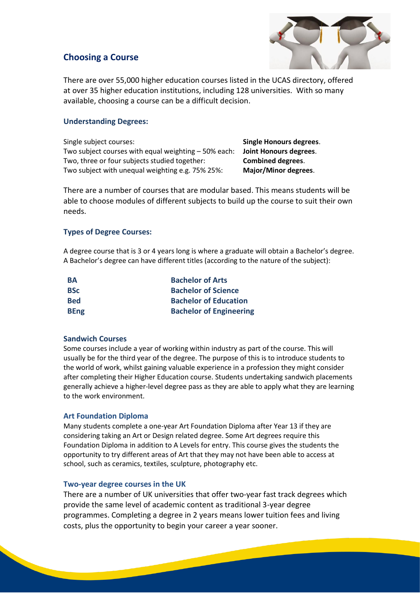#### **Choosing a Course**



There are over 55,000 higher education courses listed in the UCAS directory, offered at over 35 higher education institutions, including 128 universities. With so many available, choosing a course can be a difficult decision.

#### **Understanding Degrees:**

| Single subject courses:                              | <b>Single Honours degrees.</b> |
|------------------------------------------------------|--------------------------------|
| Two subject courses with equal weighting - 50% each: | Joint Honours degrees.         |
| Two, three or four subjects studied together:        | <b>Combined degrees.</b>       |
| Two subject with unequal weighting e.g. 75% 25%:     | Major/Minor degrees.           |

There are a number of courses that are modular based. This means students will be able to choose modules of different subjects to build up the course to suit their own needs.

#### **Types of Degree Courses:**

A degree course that is 3 or 4 years long is where a graduate will obtain a Bachelor's degree. A Bachelor's degree can have different titles (according to the nature of the subject):

| BА          | <b>Bachelor of Arts</b>        |
|-------------|--------------------------------|
| <b>BSc</b>  | <b>Bachelor of Science</b>     |
| <b>Bed</b>  | <b>Bachelor of Education</b>   |
| <b>BEng</b> | <b>Bachelor of Engineering</b> |

#### **Sandwich Courses**

Some courses include a year of working within industry as part of the course. This will usually be for the third year of the degree. The purpose of this is to introduce students to the world of work, whilst gaining valuable experience in a profession they might consider after completing their Higher Education course. Students undertaking sandwich placements generally achieve a higher-level degree pass as they are able to apply what they are learning to the work environment.

#### **Art Foundation Diploma**

Many students complete a one-year Art Foundation Diploma after Year 13 if they are considering taking an Art or Design related degree. Some Art degrees require this Foundation Diploma in addition to A Levels for entry. This course gives the students the opportunity to try different areas of Art that they may not have been able to access at school, such as ceramics, textiles, sculpture, photography etc.

#### **Two-year degree courses in the UK**

There are a number of UK universities that offer two-year fast track degrees which provide the same level of academic content as traditional 3-year degree programmes. Completing a degree in 2 years means lower tuition fees and living costs, plus the opportunity to begin your career a year sooner.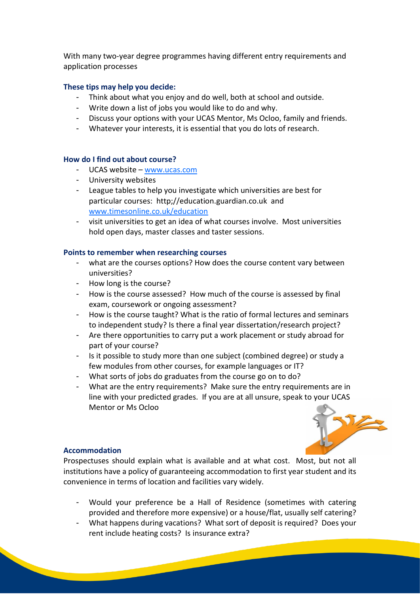With many two-year degree programmes having different entry requirements and application processes

#### **These tips may help you decide:**

- Think about what you enjoy and do well, both at school and outside.
- Write down a list of jobs you would like to do and why.
- Discuss your options with your UCAS Mentor, Ms Ocloo, family and friends.
- Whatever your interests, it is essential that you do lots of research.

#### **How do I find out about course?**

- UCAS website [www.ucas.com](http://www.ucas.com/)
- University websites
- League tables to help you investigate which universities are best for particular courses: http;//education.guardian.co.uk and [www.timesonline.co.uk/education](http://www.timesonline.co.uk/education)
- visit universities to get an idea of what courses involve. Most universities hold open days, master classes and taster sessions.

#### **Points to remember when researching courses**

- what are the courses options? How does the course content vary between universities?
- How long is the course?
- How is the course assessed? How much of the course is assessed by final exam, coursework or ongoing assessment?
- How is the course taught? What is the ratio of formal lectures and seminars to independent study? Is there a final year dissertation/research project?
- Are there opportunities to carry put a work placement or study abroad for part of your course?
- Is it possible to study more than one subject (combined degree) or study a few modules from other courses, for example languages or IT?
- What sorts of jobs do graduates from the course go on to do?
- What are the entry requirements? Make sure the entry requirements are in line with your predicted grades. If you are at all unsure, speak to your UCAS Mentor or Ms Ocloo



#### **Accommodation**

Prospectuses should explain what is available and at what cost. Most, but not all institutions have a policy of guaranteeing accommodation to first year student and its convenience in terms of location and facilities vary widely.

- Would your preference be a Hall of Residence (sometimes with catering provided and therefore more expensive) or a house/flat, usually self catering?
- What happens during vacations? What sort of deposit is required? Does your rent include heating costs? Is insurance extra?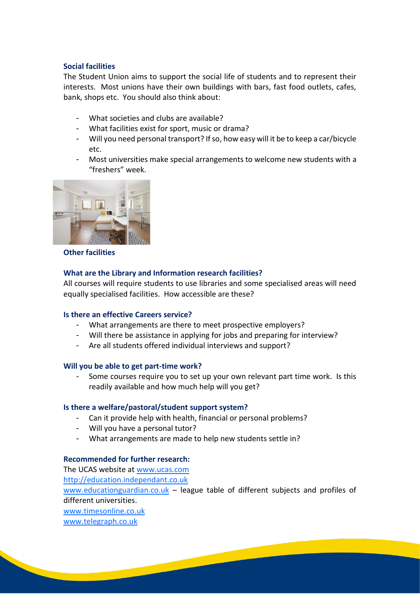#### **Social facilities**

The Student Union aims to support the social life of students and to represent their interests. Most unions have their own buildings with bars, fast food outlets, cafes, bank, shops etc. You should also think about:

- What societies and clubs are available?
- What facilities exist for sport, music or drama?
- Will you need personal transport? If so, how easy will it be to keep a car/bicycle etc.
- Most universities make special arrangements to welcome new students with a "freshers" week.



**Other facilities**

#### **What are the Library and Information research facilities?**

All courses will require students to use libraries and some specialised areas will need equally specialised facilities. How accessible are these?

#### **Is there an effective Careers service?**

- What arrangements are there to meet prospective employers?
- Will there be assistance in applying for jobs and preparing for interview?
- Are all students offered individual interviews and support?

#### **Will you be able to get part-time work?**

Some courses require you to set up your own relevant part time work. Is this readily available and how much help will you get?

#### **Is there a welfare/pastoral/student support system?**

- Can it provide help with health, financial or personal problems?
- Will you have a personal tutor?
- What arrangements are made to help new students settle in?

#### **Recommended for further research:**

The UCAS website at [www.ucas.com](http://www.ucas.com/) [http://education.independant.co.uk](http://education.independant.co.uk/) [www.educationguardian.co.uk](http://www.educationguardian.co.uk/) - league table of different subjects and profiles of different universities. [www.timesonline.co.uk](http://www.timesonline.co.uk/) [www.telegraph.co.uk](http://www.telegraph.co.uk/)

**Contract Contract Contract Contract Contract Contract Contract Contract Contract Contract Contract Contract Contract Contract Contract Contract Contract Contract Contract Contract Contract Contract Contract Contract Contr**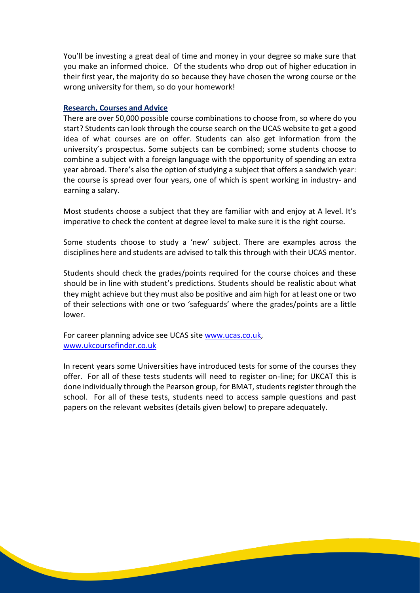You'll be investing a great deal of time and money in your degree so make sure that you make an informed choice. Of the students who drop out of higher education in their first year, the majority do so because they have chosen the wrong course or the wrong university for them, so do your homework!

#### **Research, Courses and Advice**

There are over 50,000 possible course combinations to choose from, so where do you start? Students can look through the course search on the UCAS website to get a good idea of what courses are on offer. Students can also get information from the university's prospectus. Some subjects can be combined; some students choose to combine a subject with a foreign language with the opportunity of spending an extra year abroad. There's also the option of studying a subject that offers a sandwich year: the course is spread over four years, one of which is spent working in industry- and earning a salary.

Most students choose a subject that they are familiar with and enjoy at A level. It's imperative to check the content at degree level to make sure it is the right course.

Some students choose to study a 'new' subject. There are examples across the disciplines here and students are advised to talk this through with their UCAS mentor.

Students should check the grades/points required for the course choices and these should be in line with student's predictions. Students should be realistic about what they might achieve but they must also be positive and aim high for at least one or two of their selections with one or two 'safeguards' where the grades/points are a little lower.

For career planning advice see UCAS site www.ucas.co.uk, www.ukcoursefinder.co.uk

In recent years some Universities have introduced tests for some of the courses they offer. For all of these tests students will need to register on-line; for UKCAT this is done individually through the Pearson group, for BMAT, students register through the school. For all of these tests, students need to access sample questions and past papers on the relevant websites (details given below) to prepare adequately.

<u> San Salaman Sala</u>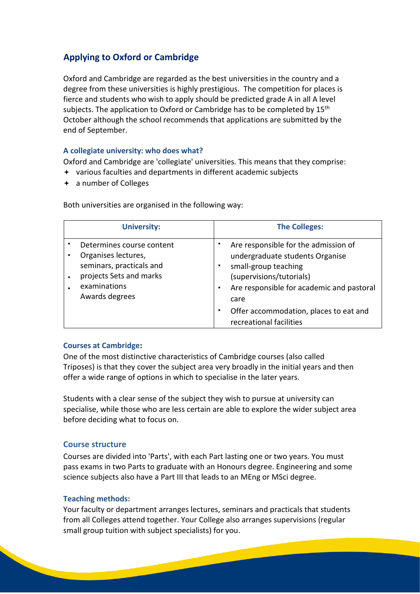# **Applying to Oxford or Cambridge**

Oxford and Cambridge are regarded as the best universities in the country and a degree from these universities is highly prestigious. The competition for places is fierce and students who wish to apply should be predicted grade A in all A level subjects. The application to Oxford or Cambridge has to be completed by  $15<sup>th</sup>$ October although the school recommends that applications are submitted by the end of September.

#### **A collegiate university: who does what?**

Oxford and Cambridge are 'collegiate' universities. This means that they comprise:

- various faculties and departments in different academic subjects
- a number of Colleges

Both universities are organised in the following way:

|                | <b>University:</b>                                                                                                                        | <b>The Colleges:</b>                                                                                                                                                                                                                                            |  |
|----------------|-------------------------------------------------------------------------------------------------------------------------------------------|-----------------------------------------------------------------------------------------------------------------------------------------------------------------------------------------------------------------------------------------------------------------|--|
| $\blacksquare$ | Determines course content<br>Organises lectures,<br>seminars, practicals and<br>projects Sets and marks<br>examinations<br>Awards degrees | Are responsible for the admission of<br>undergraduate students Organise<br>small-group teaching<br>(supervisions/tutorials)<br>Are responsible for academic and pastoral<br>٠<br>care<br>Offer accommodation, places to eat and<br>٠<br>recreational facilities |  |

#### **Courses at Cambridge:**

One of the most distinctive characteristics of Cambridge courses (also called Triposes) is that they cover the subject area very broadly in the initial years and then offer a wide range of options in which to specialise in the later years.

Students with a clear sense of the subject they wish to pursue at university can specialise, while those who are less certain are able to explore the wider subject area before deciding what to focus on.

#### **Course structure**

Courses are divided into 'Parts', with each Part lasting one or two years. You must pass exams in two Parts to graduate with an Honours degree. Engineering and some science subjects also have a Part III that leads to an MEng or MSci degree.

#### **Teaching methods:**

Your faculty or department arranges lectures, seminars and practicals that students from all Colleges attend together. Your College also arranges supervisions (regular small group tuition with subject specialists) for you.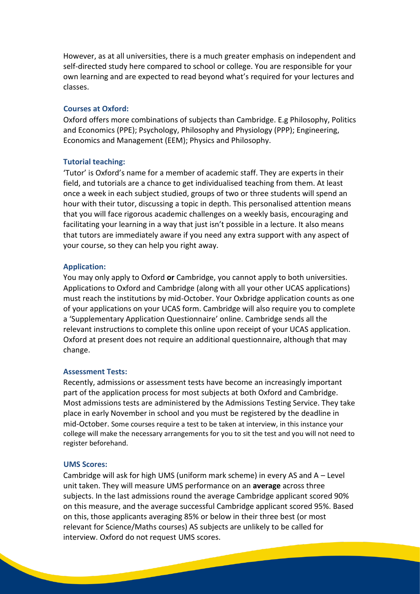However, as at all universities, there is a much greater emphasis on independent and self-directed study here compared to school or college. You are responsible for your own learning and are expected to read beyond what's required for your lectures and classes.

#### **Courses at Oxford:**

Oxford offers more combinations of subjects than Cambridge. E.g Philosophy, Politics and Economics (PPE); Psychology, Philosophy and Physiology (PPP); Engineering, Economics and Management (EEM); Physics and Philosophy.

#### **Tutorial teaching:**

'Tutor' is Oxford's name for a member of academic staff. They are experts in their field, and tutorials are a chance to get individualised teaching from them. At least once a week in each subject studied, groups of two or three students will spend an hour with their tutor, discussing a topic in depth. This personalised attention means that you will face rigorous academic challenges on a weekly basis, encouraging and facilitating your learning in a way that just isn't possible in a lecture. It also means that tutors are immediately aware if you need any extra support with any aspect of your course, so they can help you right away.

#### **Application:**

You may only apply to Oxford **or** Cambridge, you cannot apply to both universities. Applications to Oxford and Cambridge (along with all your other UCAS applications) must reach the institutions by mid-October. Your Oxbridge application counts as one of your applications on your UCAS form. Cambridge will also require you to complete a 'Supplementary Application Questionnaire' online. Cambridge sends all the relevant instructions to complete this online upon receipt of your UCAS application. Oxford at present does not require an additional questionnaire, although that may change.

#### **Assessment Tests:**

Recently, admissions or assessment tests have become an increasingly important part of the application process for most subjects at both Oxford and Cambridge. Most admissions tests are administered by the Admissions Testing Service. They take place in early November in school and you must be registered by the deadline in mid-October. Some courses require a test to be taken at interview, in this instance your college will make the necessary arrangements for you to sit the test and you will not need to register beforehand.

#### **UMS Scores:**

Cambridge will ask for high UMS (uniform mark scheme) in every AS and A – Level unit taken. They will measure UMS performance on an **average** across three subjects. In the last admissions round the average Cambridge applicant scored 90% on this measure, and the average successful Cambridge applicant scored 95%. Based on this, those applicants averaging 85% or below in their three best (or most relevant for Science/Maths courses) AS subjects are unlikely to be called for interview. Oxford do not request UMS scores.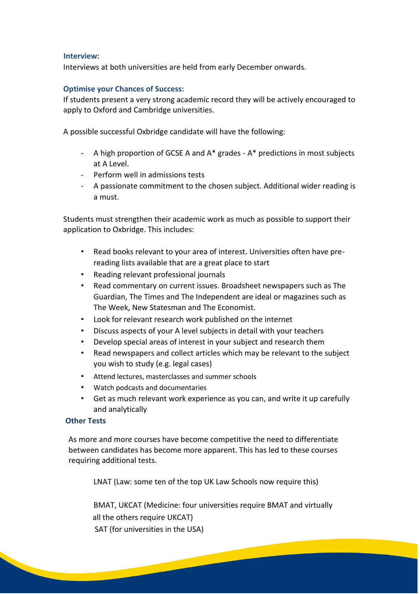#### **Interview:**

Interviews at both universities are held from early December onwards.

#### **Optimise your Chances of Success:**

If students present a very strong academic record they will be actively encouraged to apply to Oxford and Cambridge universities.

A possible successful Oxbridge candidate will have the following:

- A high proportion of GCSE A and A\* grades A\* predictions in most subjects at A Level.
- Perform well in admissions tests
- A passionate commitment to the chosen subject. Additional wider reading is a must.

Students must strengthen their academic work as much as possible to support their application to Oxbridge. This includes:

- Read books relevant to your area of interest. Universities often have prereading lists available that are a great place to start
- Reading relevant professional journals
- Read commentary on current issues. Broadsheet newspapers such as The Guardian, The Times and The Independent are ideal or magazines such as The Week, New Statesman and The Economist.
- Look for relevant research work published on the internet
- Discuss aspects of your A level subjects in detail with your teachers
- Develop special areas of interest in your subject and research them
- Read newspapers and collect articles which may be relevant to the subject you wish to study (e.g. legal cases)
- Attend lectures, masterclasses and summer schools
- Watch podcasts and documentaries
- Get as much relevant work experience as you can, and write it up carefully and analytically

#### **Other Tests**

As more and more courses have become competitive the need to differentiate between candidates has become more apparent. This has led to these courses requiring additional tests.

LNAT (Law: some ten of the top UK Law Schools now require this)

BMAT, UKCAT (Medicine: four universities require BMAT and virtually all the others require UKCAT)

**Contract Contract Contract Contract Contract Contract Contract Contract Contract Contract Contract Contract Contract Contract Contract Contract Contract Contract Contract Contract Contract Contract Contract Contract Contr** 

SAT (for universities in the USA)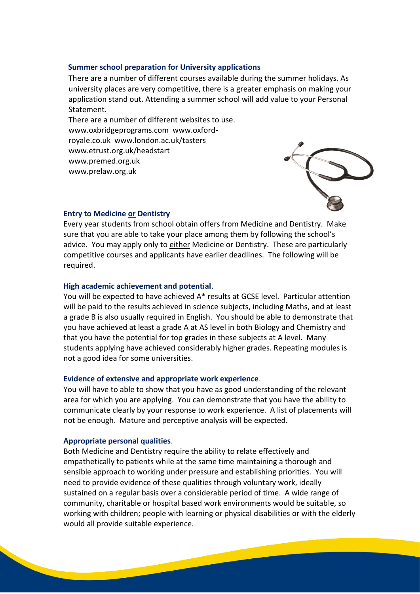#### **Summer school preparation for University applications**

There are a number of different courses available during the summer holidays. As university places are very competitive, there is a greater emphasis on making your application stand out. Attending a summer school will add value to your Personal Statement.

There are a number of different websites to use. www.oxbridgeprograms.com www.oxfordroyale.co.uk www.london.ac.uk/tasters www.etrust.org.uk/headstart www.premed.org.uk www.prelaw.org.uk



#### **Entry to Medicine or Dentistry**

Every year students from school obtain offers from Medicine and Dentistry. Make sure that you are able to take your place among them by following the school's advice. You may apply only to either Medicine or Dentistry. These are particularly competitive courses and applicants have earlier deadlines. The following will be required.

#### **High academic achievement and potential**.

You will be expected to have achieved A\* results at GCSE level. Particular attention will be paid to the results achieved in science subjects, including Maths, and at least a grade B is also usually required in English. You should be able to demonstrate that you have achieved at least a grade A at AS level in both Biology and Chemistry and that you have the potential for top grades in these subjects at A level. Many students applying have achieved considerably higher grades. Repeating modules is not a good idea for some universities.

#### **Evidence of extensive and appropriate work experience**.

You will have to able to show that you have as good understanding of the relevant area for which you are applying. You can demonstrate that you have the ability to communicate clearly by your response to work experience. A list of placements will not be enough. Mature and perceptive analysis will be expected.

#### **Appropriate personal qualities**.

Both Medicine and Dentistry require the ability to relate effectively and empathetically to patients while at the same time maintaining a thorough and sensible approach to working under pressure and establishing priorities. You will need to provide evidence of these qualities through voluntary work, ideally sustained on a regular basis over a considerable period of time. A wide range of community, charitable or hospital based work environments would be suitable, so working with children; people with learning or physical disabilities or with the elderly would all provide suitable experience.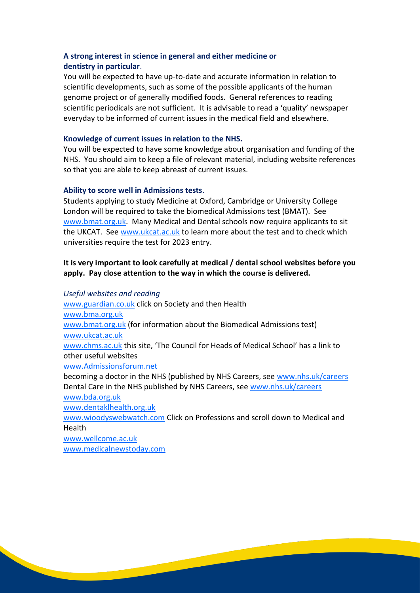#### **A strong interest in science in general and either medicine or dentistry in particular**.

You will be expected to have up-to-date and accurate information in relation to scientific developments, such as some of the possible applicants of the human genome project or of generally modified foods. General references to reading scientific periodicals are not sufficient. It is advisable to read a 'quality' newspaper everyday to be informed of current issues in the medical field and elsewhere.

#### **Knowledge of current issues in relation to the NHS.**

You will be expected to have some knowledge about organisation and funding of the NHS. You should aim to keep a file of relevant material, including website references so that you are able to keep abreast of current issues.

#### **Ability to score well in Admissions tests**.

Students applying to study Medicine at Oxford, Cambridge or University College London will be required to take the biomedical Admissions test (BMAT). See [www.bmat.org.uk.](http://www.bmat.org.uk/) Many Medical and Dental schools now require applicants to sit the UKCAT. Se[e www.ukcat.ac.uk](http://www.ukcat.ac.uk/) to learn more about the test and to check which universities require the test for 2023 entry.

#### **It is very important to look carefully at medical / dental school websites before you apply. Pay close attention to the way in which the course is delivered.**

#### *Useful websites and reading*

[www.guardian.co.uk](http://www.guardian.co.uk/) click on Society and then Health [www.bma.org.uk](http://www.bma.org.uk/) [www.bmat.org.uk](http://www.bmat.org.uk/) (for information about the Biomedical Admissions test) [www.ukcat.ac.uk](http://www.ukcat.ac.uk/) [www.chms.ac.uk](http://www.chms.ac.uk/) this site, 'The Council for Heads of Medical School' has a link to other useful websites [www.Admissionsforum.net](http://www.admissionsforum.net/) becoming a doctor in the NHS (published by NHS Careers, see [www.nhs.uk/careers](http://www.nhs.uk/careers) Dental Care in the NHS published by NHS Careers, see [www.nhs.uk/careers](http://www.nhs.uk/careers) [www.bda.org.uk](http://www.bda.org.uk/) [www.dentaklhealth.org.uk](http://www.dentaklhealth.org.uk/)

[www.wioodyswebwatch.com](http://www.wioodyswebwatch.com/) Click on Professions and scroll down to Medical and Health

**Contract Contract Contract Contract Contract** 

[www.wellcome.ac.uk](http://www.wellcome.ac.uk/) [www.medicalnewstoday.com](http://www.medicalnewstoday.com/)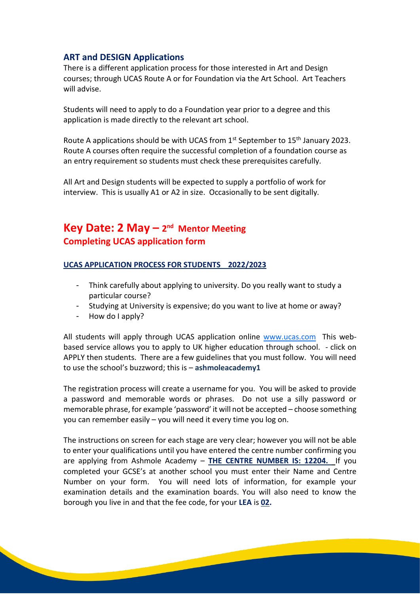#### **ART and DESIGN Applications**

There is a different application process for those interested in Art and Design courses; through UCAS Route A or for Foundation via the Art School. Art Teachers will advise.

Students will need to apply to do a Foundation year prior to a degree and this application is made directly to the relevant art school.

Route A applications should be with UCAS from  $1<sup>st</sup>$  September to  $15<sup>th</sup>$  January 2023. Route A courses often require the successful completion of a foundation course as an entry requirement so students must check these prerequisites carefully.

All Art and Design students will be expected to supply a portfolio of work for interview. This is usually A1 or A2 in size. Occasionally to be sent digitally.

# **Key Date: 2 May - 2<sup>nd</sup> Mentor Meeting Completing UCAS application form**

#### **UCAS APPLICATION PROCESS FOR STUDENTS 2022/2023**

- Think carefully about applying to university. Do you really want to study a particular course?
- Studying at University is expensive; do you want to live at home or away?
- How do I apply?

All students will apply through UCAS application online [www.ucas.com](http://www.ucas.com/) This webbased service allows you to apply to UK higher education through school. - click on APPLY then students. There are a few guidelines that you must follow. You will need to use the school's buzzword; this is – **ashmoleacademy1**

The registration process will create a username for you. You will be asked to provide a password and memorable words or phrases. Do not use a silly password or memorable phrase, for example 'password' it will not be accepted – choose something you can remember easily – you will need it every time you log on.

The instructions on screen for each stage are very clear; however you will not be able to enter your qualifications until you have entered the centre number confirming you are applying from Ashmole Academy – **THE CENTRE NUMBER IS: 12204.** If you completed your GCSE's at another school you must enter their Name and Centre Number on your form. You will need lots of information, for example your examination details and the examination boards. You will also need to know the borough you live in and that the fee code, for your **LEA** is **02.**

**Contract Contract Contract Contract Contract**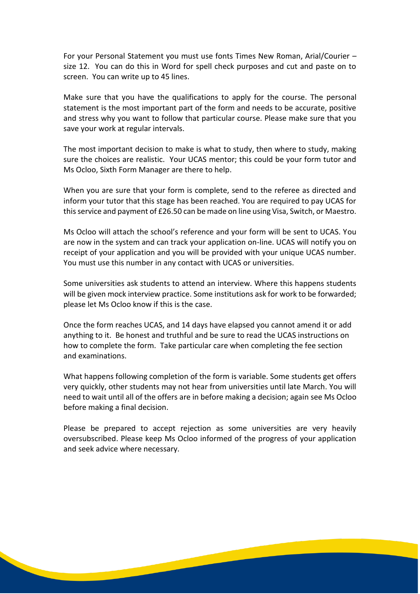For your Personal Statement you must use fonts Times New Roman, Arial/Courier – size 12. You can do this in Word for spell check purposes and cut and paste on to screen. You can write up to 45 lines.

Make sure that you have the qualifications to apply for the course. The personal statement is the most important part of the form and needs to be accurate, positive and stress why you want to follow that particular course. Please make sure that you save your work at regular intervals.

The most important decision to make is what to study, then where to study, making sure the choices are realistic. Your UCAS mentor; this could be your form tutor and Ms Ocloo, Sixth Form Manager are there to help.

When you are sure that your form is complete, send to the referee as directed and inform your tutor that this stage has been reached. You are required to pay UCAS for this service and payment of £26.50 can be made on line using Visa, Switch, or Maestro.

Ms Ocloo will attach the school's reference and your form will be sent to UCAS. You are now in the system and can track your application on-line. UCAS will notify you on receipt of your application and you will be provided with your unique UCAS number. You must use this number in any contact with UCAS or universities.

Some universities ask students to attend an interview. Where this happens students will be given mock interview practice. Some institutions ask for work to be forwarded; please let Ms Ocloo know if this is the case.

Once the form reaches UCAS, and 14 days have elapsed you cannot amend it or add anything to it. Be honest and truthful and be sure to read the UCAS instructions on how to complete the form. Take particular care when completing the fee section and examinations.

What happens following completion of the form is variable. Some students get offers very quickly, other students may not hear from universities until late March. You will need to wait until all of the offers are in before making a decision; again see Ms Ocloo before making a final decision.

Please be prepared to accept rejection as some universities are very heavily oversubscribed. Please keep Ms Ocloo informed of the progress of your application and seek advice where necessary.

**Contract Contract Contract Contract Contract Contract Contract Contract Contract Contract Contract Contract Contract Contract Contract Contract Contract Contract Contract Contract Contract Contract Contract Contract Contr**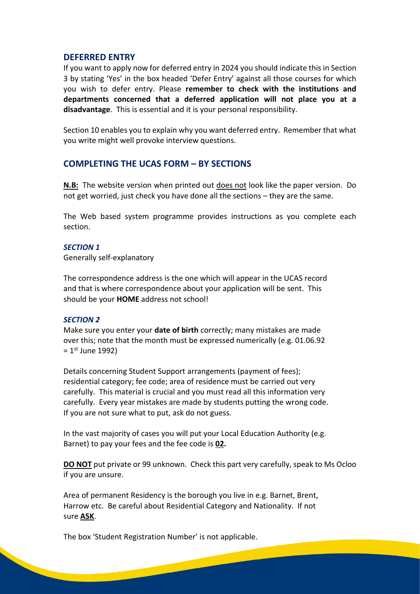#### **DEFERRED ENTRY**

If you want to apply now for deferred entry in 2024 you should indicate this in Section 3 by stating 'Yes' in the box headed 'Defer Entry' against all those courses for which you wish to defer entry. Please **remember to check with the institutions and departments concerned that a deferred application will not place you at a disadvantage**. This is essential and it is your personal responsibility.

Section 10 enables you to explain why you want deferred entry. Remember that what you write might well provoke interview questions.

#### **COMPLETING THE UCAS FORM – BY SECTIONS**

**N.B:** The website version when printed out does not look like the paper version. Do not get worried, just check you have done all the sections – they are the same.

The Web based system programme provides instructions as you complete each section.

#### *SECTION 1*

Generally self-explanatory

The correspondence address is the one which will appear in the UCAS record and that is where correspondence about your application will be sent. This should be your **HOME** address not school!

#### *SECTION 2*

Make sure you enter your **date of birth** correctly; many mistakes are made over this; note that the month must be expressed numerically (e.g. 01.06.92  $= 1$ <sup>st</sup> June 1992)

Details concerning Student Support arrangements (payment of fees); residential category; fee code; area of residence must be carried out very carefully. This material is crucial and you must read all this information very carefully. Every year mistakes are made by students putting the wrong code. If you are not sure what to put, ask do not guess.

In the vast majority of cases you will put your Local Education Authority (e.g. Barnet) to pay your fees and the fee code is **02.**

**DO NOT** put private or 99 unknown. Check this part very carefully, speak to Ms Ocloo if you are unsure.

Area of permanent Residency is the borough you live in e.g. Barnet, Brent, Harrow etc. Be careful about Residential Category and Nationality. If not sure **ASK**.

The box 'Student Registration Number' is not applicable.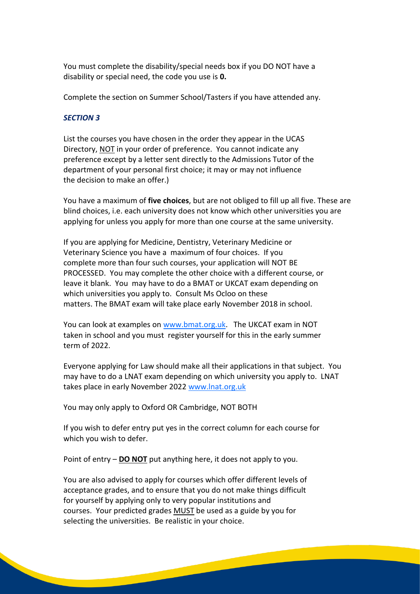You must complete the disability/special needs box if you DO NOT have a disability or special need, the code you use is **0.**

Complete the section on Summer School/Tasters if you have attended any.

#### *SECTION 3*

List the courses you have chosen in the order they appear in the UCAS Directory, NOT in your order of preference. You cannot indicate any preference except by a letter sent directly to the Admissions Tutor of the department of your personal first choice; it may or may not influence the decision to make an offer.)

You have a maximum of **five choices**, but are not obliged to fill up all five. These are blind choices, i.e. each university does not know which other universities you are applying for unless you apply for more than one course at the same university.

If you are applying for Medicine, Dentistry, Veterinary Medicine or Veterinary Science you have a maximum of four choices. If you complete more than four such courses, your application will NOT BE PROCESSED. You may complete the other choice with a different course, or leave it blank. You may have to do a BMAT or UKCAT exam depending on which universities you apply to. Consult Ms Ocloo on these matters. The BMAT exam will take place early November 2018 in school.

You can look at examples on [www.bmat.org.uk.](http://www.bmat.org.uk/) The UKCAT exam in NOT taken in school and you must register yourself for this in the early summer term of 2022

Everyone applying for Law should make all their applications in that subject. You may have to do a LNAT exam depending on which university you apply to. LNAT takes place in early November 2022 [www.lnat.org.uk](http://www.lnat.org.uk/)

You may only apply to Oxford OR Cambridge, NOT BOTH

If you wish to defer entry put yes in the correct column for each course for which you wish to defer.

Point of entry – **DO NOT** put anything here, it does not apply to you.

You are also advised to apply for courses which offer different levels of acceptance grades, and to ensure that you do not make things difficult for yourself by applying only to very popular institutions and courses. Your predicted grades MUST be used as a guide by you for selecting the universities. Be realistic in your choice.

<u> San Salaman Sala</u>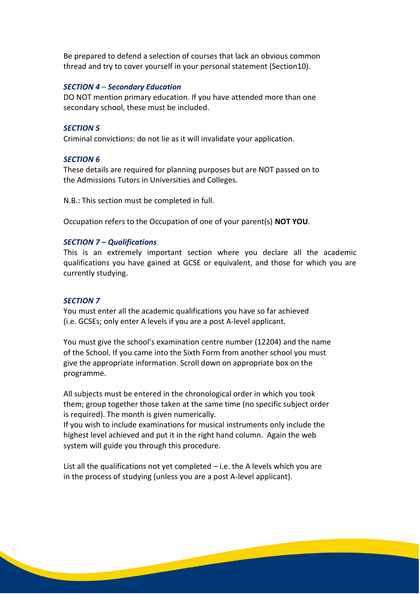Be prepared to defend a selection of courses that lack an obvious common thread and try to cover yourself in your personal statement (Section10).

#### *SECTION 4* – *Secondary Education*

DO NOT mention primary education. If you have attended more than one secondary school, these must be included.

#### *SECTION 5*

Criminal convictions: do not lie as it will invalidate your application.

#### *SECTION 6*

These details are required for planning purposes but are NOT passed on to the Admissions Tutors in Universities and Colleges.

N.B.: This section must be completed in full.

Occupation refers to the Occupation of one of your parent(s) **NOT YOU**.

#### *SECTION 7 – Qualifications*

This is an extremely important section where you declare all the academic qualifications you have gained at GCSE or equivalent, and those for which you are currently studying.

#### *SECTION 7*

You must enter all the academic qualifications you have so far achieved (i.e. GCSEs; only enter A levels if you are a post A-level applicant.

You must give the school's examination centre number (12204) and the name of the School. If you came into the Sixth Form from another school you must give the appropriate information. Scroll down on appropriate box on the programme.

All subjects must be entered in the chronological order in which you took them; group together those taken at the same time (no specific subject order is required). The month is given numerically.

If you wish to include examinations for musical instruments only include the highest level achieved and put it in the right hand column. Again the web system will guide you through this procedure.

List all the qualifications not yet completed – i.e. the A levels which you are in the process of studying (unless you are a post A-level applicant).

**Contract Contract Contract Contract Contract Contract Contract Contract Contract Contract Contract Contract Contract Contract Contract Contract Contract Contract Contract Contract Contract Contract Contract Contract Contr**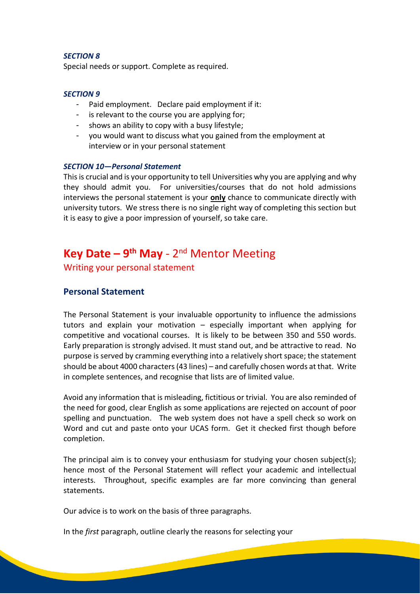#### *SECTION 8*

Special needs or support. Complete as required.

#### *SECTION 9*

- Paid employment. Declare paid employment if it:
- is relevant to the course you are applying for:
- shows an ability to copy with a busy lifestyle;
- you would want to discuss what you gained from the employment at interview or in your personal statement

#### *SECTION 10***—***Personal Statement*

This is crucial and is your opportunity to tell Universities why you are applying and why they should admit you. For universities/courses that do not hold admissions interviews the personal statement is your **only** chance to communicate directly with university tutors. We stress there is no single right way of completing this section but it is easy to give a poor impression of yourself, so take care.

# Key Date – 9<sup>th</sup> May - 2<sup>nd</sup> Mentor Meeting

Writing your personal statement

#### **Personal Statement**

The Personal Statement is your invaluable opportunity to influence the admissions tutors and explain your motivation – especially important when applying for competitive and vocational courses. It is likely to be between 350 and 550 words. Early preparation is strongly advised. It must stand out, and be attractive to read. No purpose is served by cramming everything into a relatively short space; the statement should be about 4000 characters (43 lines) – and carefully chosen words at that. Write in complete sentences, and recognise that lists are of limited value.

Avoid any information that is misleading, fictitious or trivial. You are also reminded of the need for good, clear English as some applications are rejected on account of poor spelling and punctuation. The web system does not have a spell check so work on Word and cut and paste onto your UCAS form. Get it checked first though before completion.

The principal aim is to convey your enthusiasm for studying your chosen subject(s); hence most of the Personal Statement will reflect your academic and intellectual interests. Throughout, specific examples are far more convincing than general statements.

Our advice is to work on the basis of three paragraphs.

In the *first* paragraph, outline clearly the reasons for selecting your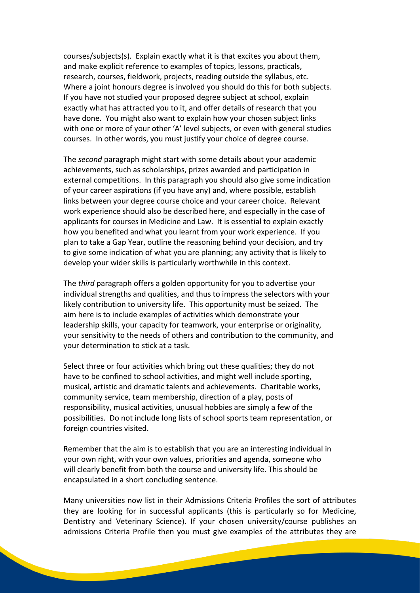courses/subjects(s). Explain exactly what it is that excites you about them, and make explicit reference to examples of topics, lessons, practicals, research, courses, fieldwork, projects, reading outside the syllabus, etc. Where a joint honours degree is involved you should do this for both subjects. If you have not studied your proposed degree subject at school, explain exactly what has attracted you to it, and offer details of research that you have done. You might also want to explain how your chosen subject links with one or more of your other 'A' level subjects, or even with general studies courses. In other words, you must justify your choice of degree course.

The *second* paragraph might start with some details about your academic achievements, such as scholarships, prizes awarded and participation in external competitions. In this paragraph you should also give some indication of your career aspirations (if you have any) and, where possible, establish links between your degree course choice and your career choice. Relevant work experience should also be described here, and especially in the case of applicants for courses in Medicine and Law. It is essential to explain exactly how you benefited and what you learnt from your work experience. If you plan to take a Gap Year, outline the reasoning behind your decision, and try to give some indication of what you are planning; any activity that is likely to develop your wider skills is particularly worthwhile in this context.

The *third* paragraph offers a golden opportunity for you to advertise your individual strengths and qualities, and thus to impress the selectors with your likely contribution to university life. This opportunity must be seized. The aim here is to include examples of activities which demonstrate your leadership skills, your capacity for teamwork, your enterprise or originality, your sensitivity to the needs of others and contribution to the community, and your determination to stick at a task.

Select three or four activities which bring out these qualities; they do not have to be confined to school activities, and might well include sporting, musical, artistic and dramatic talents and achievements. Charitable works, community service, team membership, direction of a play, posts of responsibility, musical activities, unusual hobbies are simply a few of the possibilities. Do not include long lists of school sports team representation, or foreign countries visited.

Remember that the aim is to establish that you are an interesting individual in your own right, with your own values, priorities and agenda, someone who will clearly benefit from both the course and university life. This should be encapsulated in a short concluding sentence.

Many universities now list in their Admissions Criteria Profiles the sort of attributes they are looking for in successful applicants (this is particularly so for Medicine, Dentistry and Veterinary Science). If your chosen university/course publishes an admissions Criteria Profile then you must give examples of the attributes they are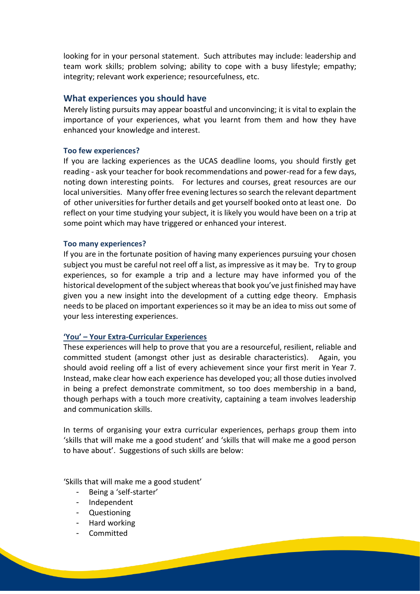looking for in your personal statement. Such attributes may include: leadership and team work skills; problem solving; ability to cope with a busy lifestyle; empathy; integrity; relevant work experience; resourcefulness, etc.

#### **What experiences you should have**

Merely listing pursuits may appear boastful and unconvincing; it is vital to explain the importance of your experiences, what you learnt from them and how they have enhanced your knowledge and interest.

#### **Too few experiences?**

If you are lacking experiences as the UCAS deadline looms, you should firstly get reading - ask your teacher for book recommendations and power-read for a few days, noting down interesting points. For lectures and courses, great resources are our local universities. Many offer free evening lectures so search the relevant department of other universities for further details and get yourself booked onto at least one. Do reflect on your time studying your subject, it is likely you would have been on a trip at some point which may have triggered or enhanced your interest.

#### **Too many experiences?**

If you are in the fortunate position of having many experiences pursuing your chosen subject you must be careful not reel off a list, as impressive as it may be. Try to group experiences, so for example a trip and a lecture may have informed you of the historical development of the subject whereas that book you've just finished may have given you a new insight into the development of a cutting edge theory. Emphasis needs to be placed on important experiences so it may be an idea to miss out some of your less interesting experiences.

#### **'You' – Your Extra-Curricular Experiences**

These experiences will help to prove that you are a resourceful, resilient, reliable and committed student (amongst other just as desirable characteristics). Again, you should avoid reeling off a list of every achievement since your first merit in Year 7. Instead, make clear how each experience has developed you; all those duties involved in being a prefect demonstrate commitment, so too does membership in a band, though perhaps with a touch more creativity, captaining a team involves leadership and communication skills.

In terms of organising your extra curricular experiences, perhaps group them into 'skills that will make me a good student' and 'skills that will make me a good person to have about'. Suggestions of such skills are below:

'Skills that will make me a good student'

- Being a 'self-starter'
- Independent
- Questioning
- Hard working
- Committed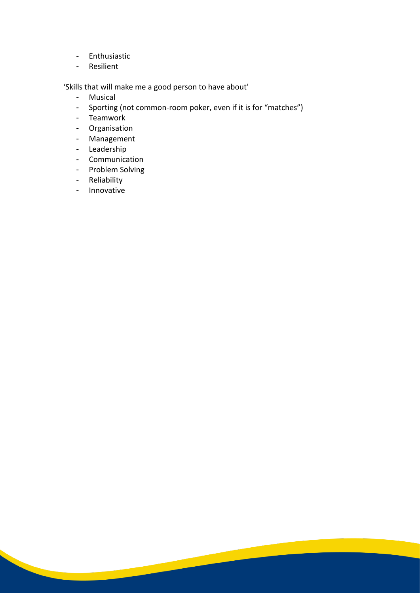- Enthusiastic
- Resilient

'Skills that will make me a good person to have about'

- Musical
- Sporting (not common-room poker, even if it is for "matches")

- Teamwork
- Organisation
- Management
- Leadership
- Communication
- Problem Solving
- Reliability
- Innovative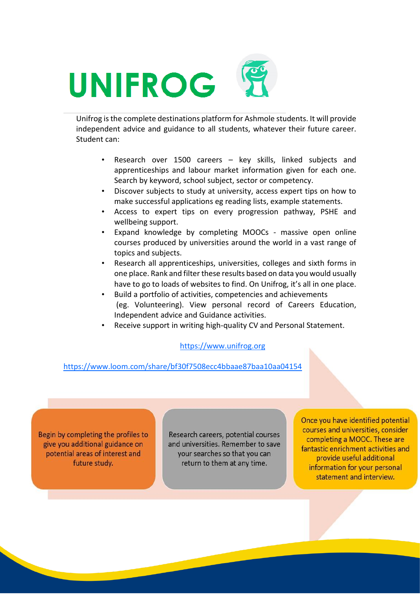# UNIFROG

Unifrog is the complete destinations platform for Ashmole students. It will provide independent advice and guidance to all students, whatever their future career. Student can:

- Research over 1500 careers key skills, linked subjects and apprenticeships and labour market information given for each one. Search by keyword, school subject, sector or competency.
- Discover subjects to study at university, access expert tips on how to make successful applications eg reading lists, example statements.
- Access to expert tips on every progression pathway, PSHE and wellbeing support.
- Expand knowledge by completing MOOCs massive open online courses produced by universities around the world in a vast range of topics and subjects.
- Research all apprenticeships, universities, colleges and sixth forms in one place. Rank and filter these results based on data you would usually have to go to loads of websites to find. On Unifrog, it's all in one place.
- Build a portfolio of activities, competencies and achievements (eg. Volunteering). View personal record of Careers Education, Independent advice and Guidance activities.
- Receive support in writing high-quality CV and Personal Statement.

#### [https://www.unifrog.org](https://www.unifrog.org/)

<https://www.loom.com/share/bf30f7508ecc4bbaae87baa10aa04154>

Begin by completing the profiles to give you additional guidance on potential areas of interest and future study.

Research careers, potential courses and universities. Remember to save vour searches so that you can return to them at any time.

Once you have identified potential courses and universities, consider completing a MOOC. These are fantastic enrichment activities and provide useful additional information for your personal statement and interview.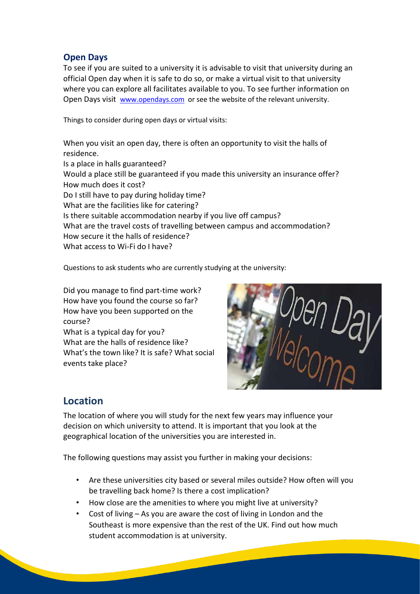#### **Open Days**

To see if you are suited to a university it is advisable to visit that university during an official Open day when it is safe to do so, or make a virtual visit to that university where you can explore all facilitates available to you. To see further information on Open Days visit [www.opendays.com](http://www.opendays.com/) or see the website of the relevant university.

Things to consider during open days or virtual visits:

When you visit an open day, there is often an opportunity to visit the halls of residence.

Is a place in halls guaranteed? Would a place still be guaranteed if you made this university an insurance offer? How much does it cost? Do I still have to pay during holiday time? What are the facilities like for catering? Is there suitable accommodation nearby if you live off campus? What are the travel costs of travelling between campus and accommodation? How secure it the halls of residence?

What access to Wi-Fi do I have?

Questions to ask students who are currently studying at the university:

Did you manage to find part-time work? How have you found the course so far? How have you been supported on the course? What is a typical day for you? What are the halls of residence like? What's the town like? It is safe? What social events take place?



# **Location**

The location of where you will study for the next few years may influence your decision on which university to attend. It is important that you look at the geographical location of the universities you are interested in.

The following questions may assist you further in making your decisions:

- Are these universities city based or several miles outside? How often will you be travelling back home? Is there a cost implication?
- How close are the amenities to where you might live at university?
- Cost of living As you are aware the cost of living in London and the Southeast is more expensive than the rest of the UK. Find out how much student accommodation is at university.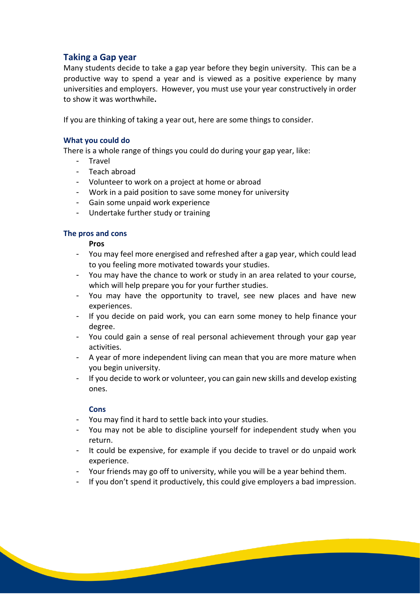#### **Taking a Gap year**

Many students decide to take a gap year before they begin university. This can be a productive way to spend a year and is viewed as a positive experience by many universities and employers. However, you must use your year constructively in order to show it was worthwhile**.**

If you are thinking of taking a year out, here are some things to consider.

#### **What you could do**

There is a whole range of things you could do during your gap year, like:

- Travel
- Teach abroad
- Volunteer to work on a project at home or abroad
- Work in a paid position to save some money for university
- Gain some unpaid work experience
- Undertake further study or training

#### **The pros and cons**

**Pros**

- You may feel more energised and refreshed after a gap year, which could lead to you feeling more motivated towards your studies.
- You may have the chance to work or study in an area related to your course, which will help prepare you for your further studies.
- You may have the opportunity to travel, see new places and have new experiences.
- If you decide on paid work, you can earn some money to help finance your degree.
- You could gain a sense of real personal achievement through your gap year activities.
- A year of more independent living can mean that you are more mature when you begin university.
- If you decide to work or volunteer, you can gain new skills and develop existing ones.

#### **Cons**

- You may find it hard to settle back into your studies.
- You may not be able to discipline yourself for independent study when you return.
- It could be expensive, for example if you decide to travel or do unpaid work experience.
- Your friends may go off to university, while you will be a year behind them.
- If you don't spend it productively, this could give employers a bad impression.

<u> San Salaman a San San Sala</u>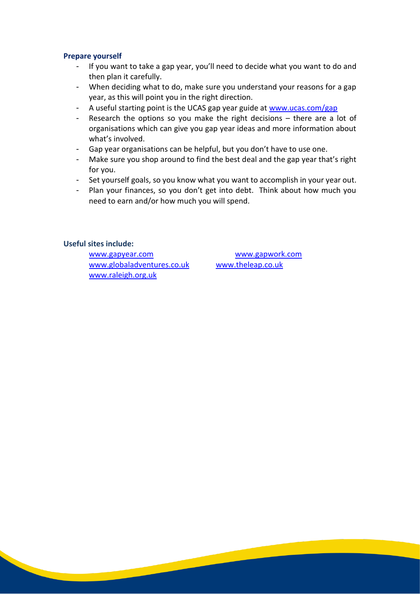#### **Prepare yourself**

- If you want to take a gap year, you'll need to decide what you want to do and then plan it carefully.
- When deciding what to do, make sure you understand your reasons for a gap year, as this will point you in the right direction.
- A useful starting point is the UCAS gap year guide at www.ucas.com/gap
- Research the options so you make the right decisions there are a lot of organisations which can give you gap year ideas and more information about what's involved.
- Gap year organisations can be helpful, but you don't have to use one.
- Make sure you shop around to find the best deal and the gap year that's right for you.
- Set yourself goals, so you know what you want to accomplish in your year out.
- Plan your finances, so you don't get into debt. Think about how much you need to earn and/or how much you will spend.

#### **Useful sites include:**

www.gapyear.com www.gapwork.com www.globaladventures.co.uk www.theleap.co.uk www.raleigh.org.uk

**Contract Contract Contract Contract Contract Contract Contract Contract Contract Contract Contract Contract Contract Contract Contract Contract Contract Contract Contract Contract Contract Contract Contract Contract Contr**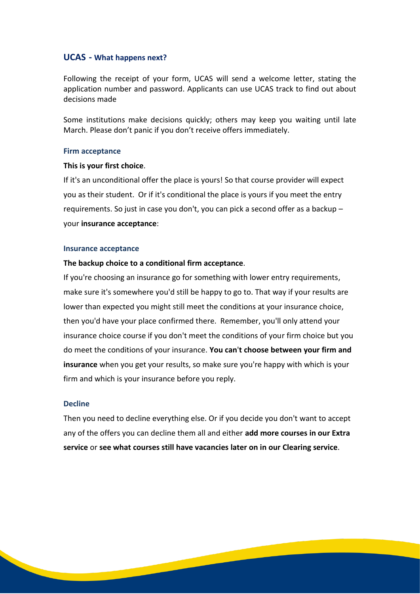#### **UCAS - What happens next?**

Following the receipt of your form, UCAS will send a welcome letter, stating the application number and password. Applicants can use UCAS track to find out about decisions made

Some institutions make decisions quickly; others may keep you waiting until late March. Please don't panic if you don't receive offers immediately.

#### **Firm acceptance**

#### **This is your first choice**.

If it's an unconditional offer the place is yours! So that course provider will expect you as their student. Or if it's conditional the place is yours if you meet the entry requirements. So just in case you don't, you can pick a second offer as a backup – your **insurance acceptance**:

#### **Insurance acceptance**

#### **The backup choice to a conditional firm acceptance**.

If you're choosing an insurance go for something with lower entry requirements, make sure it's somewhere you'd still be happy to go to. That way if your results are lower than expected you might still meet the conditions at your insurance choice, then you'd have your place confirmed there. Remember, you'll only attend your insurance choice course if you don't meet the conditions of your firm choice but you do meet the conditions of your insurance. **You can**'**t choose between your firm and insurance** when you get your results, so make sure you're happy with which is your firm and which is your insurance before you reply.

#### **Decline**

Then you need to decline everything else. Or if you decide you don't want to accept any of the offers you can decline them all and either **add more [courses](http://www.ucas.com/how-it-all-works/undergraduate/tracking-your-application/adding-extra-choices) in our Extra [service](http://www.ucas.com/how-it-all-works/undergraduate/tracking-your-application/adding-extra-choices)** or **see what courses still have [vacancies](http://www.ucas.com/how-it-all-works/undergraduate/results/if-you-have-no-offers) later on in our Clearing service**.

**Contract Contract Contract Contract Contract Contract Contract Contract Contract Contract Contract Contract Contract Contract Contract Contract Contract Contract Contract Contract Contract Contract Contract Contract Contr**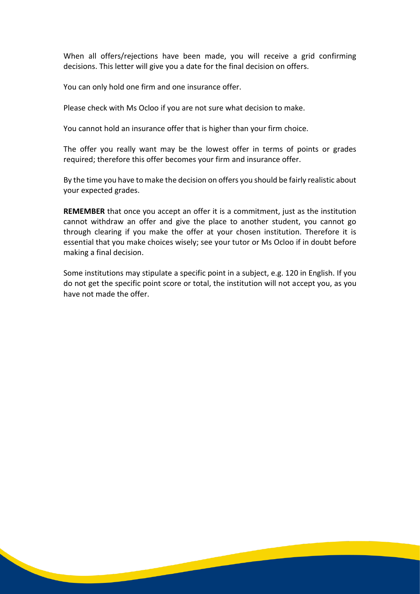When all offers/rejections have been made, you will receive a grid confirming decisions. This letter will give you a date for the final decision on offers.

You can only hold one firm and one insurance offer.

Please check with Ms Ocloo if you are not sure what decision to make.

You cannot hold an insurance offer that is higher than your firm choice.

The offer you really want may be the lowest offer in terms of points or grades required; therefore this offer becomes your firm and insurance offer.

By the time you have to make the decision on offers you should be fairly realistic about your expected grades.

**REMEMBER** that once you accept an offer it is a commitment, just as the institution cannot withdraw an offer and give the place to another student, you cannot go through clearing if you make the offer at your chosen institution. Therefore it is essential that you make choices wisely; see your tutor or Ms Ocloo if in doubt before making a final decision.

Some institutions may stipulate a specific point in a subject, e.g. 120 in English. If you do not get the specific point score or total, the institution will not accept you, as you have not made the offer.

<u> 1990 - Jan Jawa</u>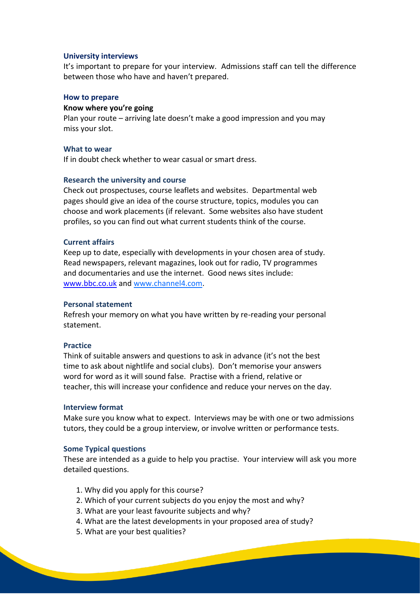#### **University interviews**

It's important to prepare for your interview. Admissions staff can tell the difference between those who have and haven't prepared.

#### **How to prepare**

#### **Know where you're going**

Plan your route – arriving late doesn't make a good impression and you may miss your slot.

#### **What to wear**

If in doubt check whether to wear casual or smart dress.

#### **Research the university and course**

Check out prospectuses, course leaflets and websites. Departmental web pages should give an idea of the course structure, topics, modules you can choose and work placements (if relevant. Some websites also have student profiles, so you can find out what current students think of the course.

#### **Current affairs**

Keep up to date, especially with developments in your chosen area of study. Read newspapers, relevant magazines, look out for radio, TV programmes and documentaries and use the internet. Good news sites include: www.bbc.co.uk and [www.channel4.com.](http://www.channel4.com/)

#### **Personal statement**

Refresh your memory on what you have written by re-reading your personal statement.

#### **Practice**

Think of suitable answers and questions to ask in advance (it's not the best time to ask about nightlife and social clubs). Don't memorise your answers word for word as it will sound false. Practise with a friend, relative or teacher, this will increase your confidence and reduce your nerves on the day.

#### **Interview format**

Make sure you know what to expect. Interviews may be with one or two admissions tutors, they could be a group interview, or involve written or performance tests.

#### **Some Typical questions**

These are intended as a guide to help you practise. Your interview will ask you more detailed questions.

- 1. Why did you apply for this course?
- 2. Which of your current subjects do you enjoy the most and why?
- 3. What are your least favourite subjects and why?
- 4. What are the latest developments in your proposed area of study?
- 5. What are your best qualities?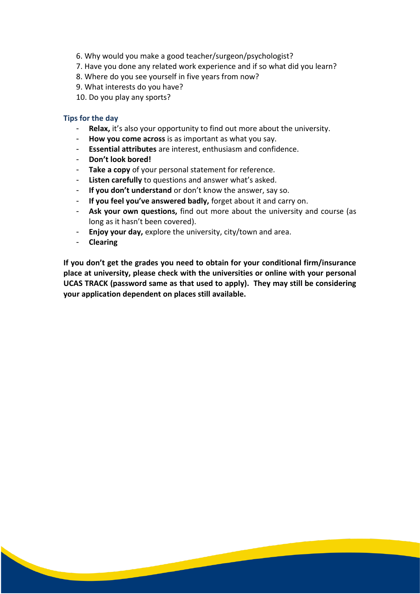- 6. Why would you make a good teacher/surgeon/psychologist?
- 7. Have you done any related work experience and if so what did you learn?
- 8. Where do you see yourself in five years from now?
- 9. What interests do you have?
- 10. Do you play any sports?

#### **Tips for the day**

- **Relax,** it's also your opportunity to find out more about the university.
- How you come across is as important as what you say.
- **Essential attributes** are interest, enthusiasm and confidence.
- **Don't look bored!**
- **Take a copy** of your personal statement for reference.
- **Listen carefully** to questions and answer what's asked.
- **If you don't understand** or don't know the answer, say so.
- **If you feel you've answered badly,** forget about it and carry on.
- **Ask your own questions,** find out more about the university and course (as long as it hasn't been covered).
- **Enjoy your day,** explore the university, city/town and area.
- **Clearing**

**If you don't get the grades you need to obtain for your conditional firm/insurance place at university, please check with the universities or online with your personal UCAS TRACK (password same as that used to apply). They may still be considering your application dependent on places still available.**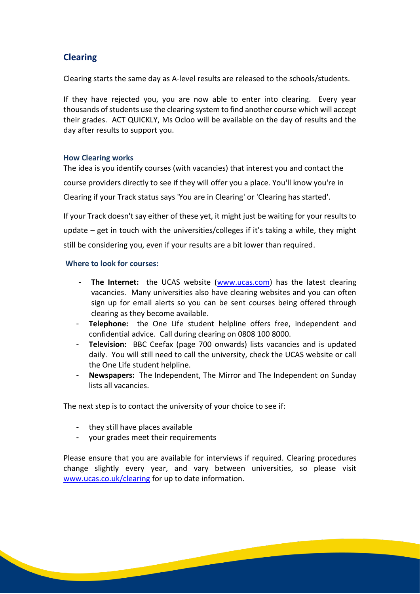# **Clearing**

Clearing starts the same day as A-level results are released to the schools/students.

If they have rejected you, you are now able to enter into clearing. Every year thousands of students use the clearing system to find another course which will accept their grades. ACT QUICKLY, Ms Ocloo will be available on the day of results and the day after results to support you.

#### **How Clearing works**

The idea is you identify courses (with vacancies) that interest you and contact the course providers directly to see if they will offer you a place. You'll know you're in Clearing if your Track status says 'You are in Clearing' or 'Clearing has started'.

If your Track doesn't say either of these yet, it might just be waiting for your results to update – get in touch with the universities/colleges if it's taking a while, they might still be considering you, even if your results are a bit lower than required.

#### **Where to look for courses:**

- **The Internet:** the UCAS website (www.ucas.com) has the latest clearing vacancies. Many universities also have clearing websites and you can often sign up for email alerts so you can be sent courses being offered through clearing as they become available.
- **Telephone:** the One Life student helpline offers free, independent and confidential advice. Call during clearing on 0808 100 8000.
- **Television:** BBC Ceefax (page 700 onwards) lists vacancies and is updated daily. You will still need to call the university, check the UCAS website or call the One Life student helpline.
- **Newspapers:** The Independent, The Mirror and The Independent on Sunday lists all vacancies.

The next step is to contact the university of your choice to see if:

- they still have places available
- your grades meet their requirements

Please ensure that you are available for interviews if required. Clearing procedures change slightly every year, and vary between universities, so please visit www.ucas.co.uk/clearing for up to date information.

<u> San Salaman Sala</u>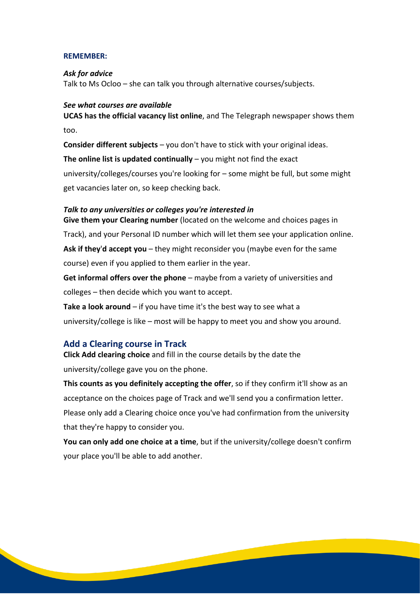#### **REMEMBER:**

#### *Ask for advice*

Talk to Ms Ocloo – she can talk you through alternative courses/subjects.

#### *See what courses are available*

**UCAS has the official vacancy list online**, and The Telegraph newspaper shows them too.

**Consider different subjects** – you don't have to stick with your original ideas. **The online list is updated continually** – you might not find the exact university/colleges/courses you're looking for – some might be full, but some might

get vacancies later on, so keep checking back.

# *Talk to any universities or colleges you're interested in*

**Give them your Clearing number** (located on the welcome and choices pages in Track), and your Personal ID number which will let them see your application online. **Ask if they**'**d accept you** – they might reconsider you (maybe even for the same

course) even if you applied to them earlier in the year.

**Get informal offers over the phone** – maybe from a variety of universities and colleges – then decide which you want to accept.

**Take a look around** – if you have time it's the best way to see what a university/college is like – most will be happy to meet you and show you around.

#### **Add a Clearing course in Track**

**Click Add clearing choice** and fill in the course details by the date the university/college gave you on the phone.

**This counts as you definitely accepting the offer**, so if they confirm it'll show as an acceptance on the choices page of Track and we'll send you a confirmation letter. Please only add a Clearing choice once you've had confirmation from the university that they're happy to consider you.

**You can only add one choice at a time**, but if the university/college doesn't confirm your place you'll be able to add another.

**Contract Contract Contract Contract Contract Contract Contract Contract Contract Contract Contract Contract Contract Contract Contract Contract Contract Contract Contract Contract Contract Contract Contract Contract Contr**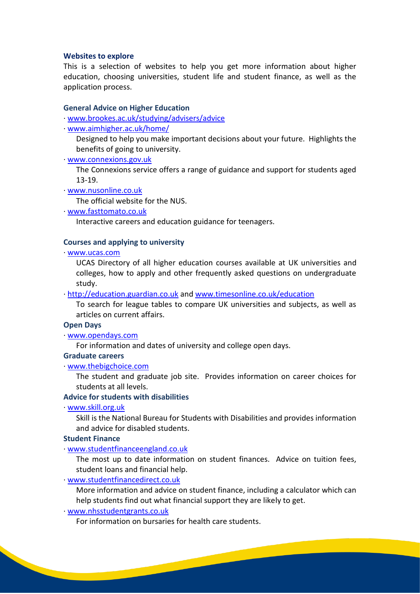#### **Websites to explore**

This is a selection of websites to help you get more information about higher education, choosing universities, student life and student finance, as well as the application process.

#### **General Advice on Higher Education**

· www.brookes.ac.uk/studying/advisers/advice

· www.aimhigher.ac.uk/home/

Designed to help you make important decisions about your future. Highlights the benefits of going to university.

· www.connexions.gov.uk

The Connexions service offers a range of guidance and support for students aged 13-19.

· www.nusonline.co.uk

The official website for the NUS.

· www.fasttomato.co.uk

Interactive careers and education guidance for teenagers.

#### **Courses and applying to university**

· www.ucas.com

UCAS Directory of all higher education courses available at UK universities and colleges, how to apply and other frequently asked questions on undergraduate study.

· http://education.guardian.co.uk and www.timesonline.co.uk/education

To search for league tables to compare UK universities and subjects, as well as articles on current affairs.

#### **Open Days**

· www.opendays.com

For information and dates of university and college open days.

#### **Graduate careers**

· www.thebigchoice.com

The student and graduate job site. Provides information on career choices for students at all levels.

#### **Advice for students with disabilities**

· www.skill.org.uk

Skill is the National Bureau for Students with Disabilities and provides information and advice for disabled students.

#### **Student Finance**

· www.studentfinanceengland.co.uk

The most up to date information on student finances. Advice on tuition fees, student loans and financial help.

· www.studentfinancedirect.co.uk

More information and advice on student finance, including a calculator which can help students find out what financial support they are likely to get.

<u> The Community of the Community of the Community of the Community of the Community of the Community of the Community of the Community of the Community of the Community of the Community of the Community of the Community of</u>

· www.nhsstudentgrants.co.uk

For information on bursaries for health care students.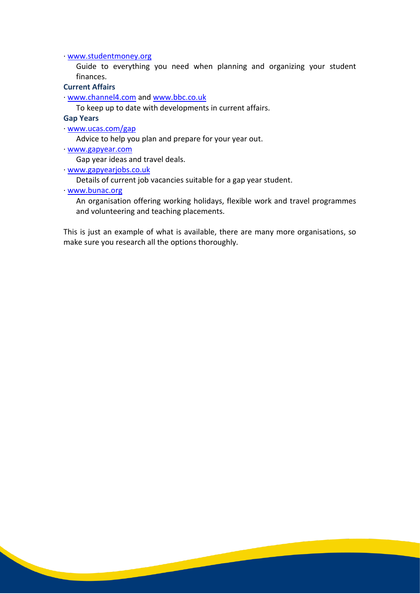· www.studentmoney.org

Guide to everything you need when planning and organizing your student finances.

**Current Affairs**

· www.channel4.com and www.bbc.co.uk

To keep up to date with developments in current affairs.

**Gap Years**

· www.ucas.com/gap

Advice to help you plan and prepare for your year out.

· www.gapyear.com

Gap year ideas and travel deals.

· www.gapyearjobs.co.uk

Details of current job vacancies suitable for a gap year student.

· www.bunac.org

An organisation offering working holidays, flexible work and travel programmes and volunteering and teaching placements.

This is just an example of what is available, there are many more organisations, so make sure you research all the options thoroughly.

**Contract Contract Contract Contract Contract Contract Contract Contract Contract Contract Contract Contract Contract Contract Contract Contract Contract Contract Contract Contract Contract Contract Contract Contract Contr**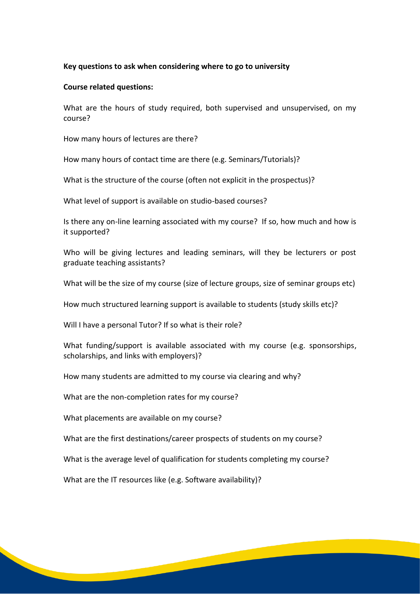#### **Key questions to ask when considering where to go to university**

#### **Course related questions:**

What are the hours of study required, both supervised and unsupervised, on my course?

How many hours of lectures are there?

How many hours of contact time are there (e.g. Seminars/Tutorials)?

What is the structure of the course (often not explicit in the prospectus)?

What level of support is available on studio-based courses?

Is there any on-line learning associated with my course? If so, how much and how is it supported?

Who will be giving lectures and leading seminars, will they be lecturers or post graduate teaching assistants?

What will be the size of my course (size of lecture groups, size of seminar groups etc)

How much structured learning support is available to students (study skills etc)?

Will I have a personal Tutor? If so what is their role?

What funding/support is available associated with my course (e.g. sponsorships, scholarships, and links with employers)?

How many students are admitted to my course via clearing and why?

What are the non-completion rates for my course?

What placements are available on my course?

What are the first destinations/career prospects of students on my course?

What is the average level of qualification for students completing my course?

**Contract Contract Contract Contract Contract Contract Contract Contract Contract Contract Contract Contract Contract Contract Contract Contract Contract Contract Contract Contract Contract Contract Contract Contract Contr** 

What are the IT resources like (e.g. Software availability)?